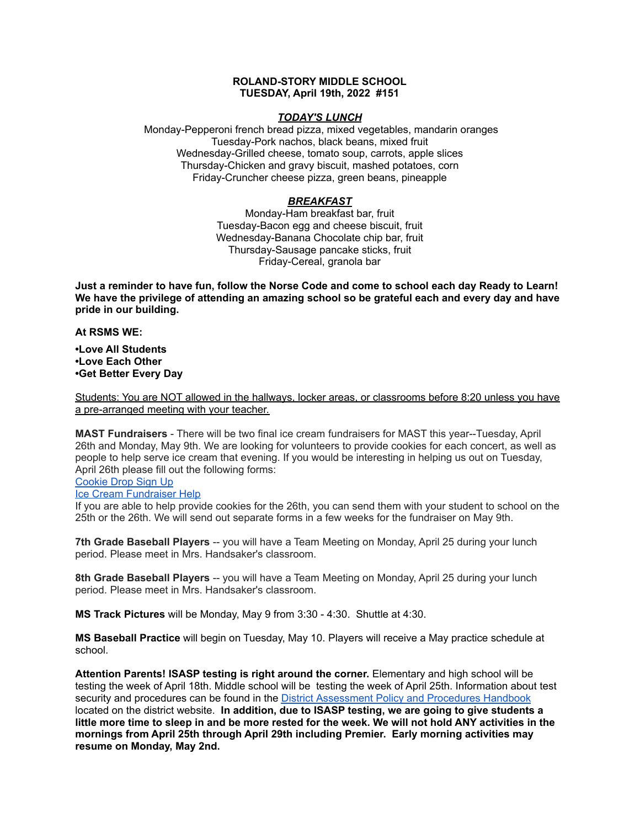## **ROLAND-STORY MIDDLE SCHOOL TUESDAY, April 19th, 2022 #151**

## *TODAY'S LUNCH*

Monday-Pepperoni french bread pizza, mixed vegetables, mandarin oranges Tuesday-Pork nachos, black beans, mixed fruit Wednesday-Grilled cheese, tomato soup, carrots, apple slices Thursday-Chicken and gravy biscuit, mashed potatoes, corn Friday-Cruncher cheese pizza, green beans, pineapple

## *BREAKFAST*

Monday-Ham breakfast bar, fruit Tuesday-Bacon egg and cheese biscuit, fruit Wednesday-Banana Chocolate chip bar, fruit Thursday-Sausage pancake sticks, fruit Friday-Cereal, granola bar

Just a reminder to have fun, follow the Norse Code and come to school each day Ready to Learn! **We have the privilege of attending an amazing school so be grateful each and every day and have pride in our building.**

**At RSMS WE:**

**•Love All Students •Love Each Other •Get Better Every Day**

Students: You are NOT allowed in the hallways, locker areas, or classrooms before 8:20 unless you have a pre-arranged meeting with your teacher.

**MAST Fundraisers** - There will be two final ice cream fundraisers for MAST this year--Tuesday, April 26th and Monday, May 9th. We are looking for volunteers to provide cookies for each concert, as well as people to help serve ice cream that evening. If you would be interesting in helping us out on Tuesday, April 26th please fill out the following forms:

[Cookie](https://www.signupgenius.com/go/4090c45acac2ba31-rsmast2) Drop Sign Up

#### Ice Cream [Fundraiser](https://www.signupgenius.com/go/4090c45acac2ba31-rsmast3) Help

If you are able to help provide cookies for the 26th, you can send them with your student to school on the 25th or the 26th. We will send out separate forms in a few weeks for the fundraiser on May 9th.

**7th Grade Baseball Players** -- you will have a Team Meeting on Monday, April 25 during your lunch period. Please meet in Mrs. Handsaker's classroom.

**8th Grade Baseball Players** -- you will have a Team Meeting on Monday, April 25 during your lunch period. Please meet in Mrs. Handsaker's classroom.

**MS Track Pictures** will be Monday, May 9 from 3:30 - 4:30. Shuttle at 4:30.

**MS Baseball Practice** will begin on Tuesday, May 10. Players will receive a May practice schedule at school.

**Attention Parents! ISASP testing is right around the corner.** Elementary and high school will be testing the week of April 18th. Middle school will be testing the week of April 25th. Information about test security and procedures can be found in the District [Assessment](https://rolandstory.school/media/Michelle%20Soderstrum/RSCSD_District_Assessment_Poli%20-%20Copy%203.pdf) Policy and Procedures Handbook located on the district website. **In addition, due to ISASP testing, we are going to give students a** little more time to sleep in and be more rested for the week. We will not hold ANY activities in the **mornings from April 25th through April 29th including Premier. Early morning activities may resume on Monday, May 2nd.**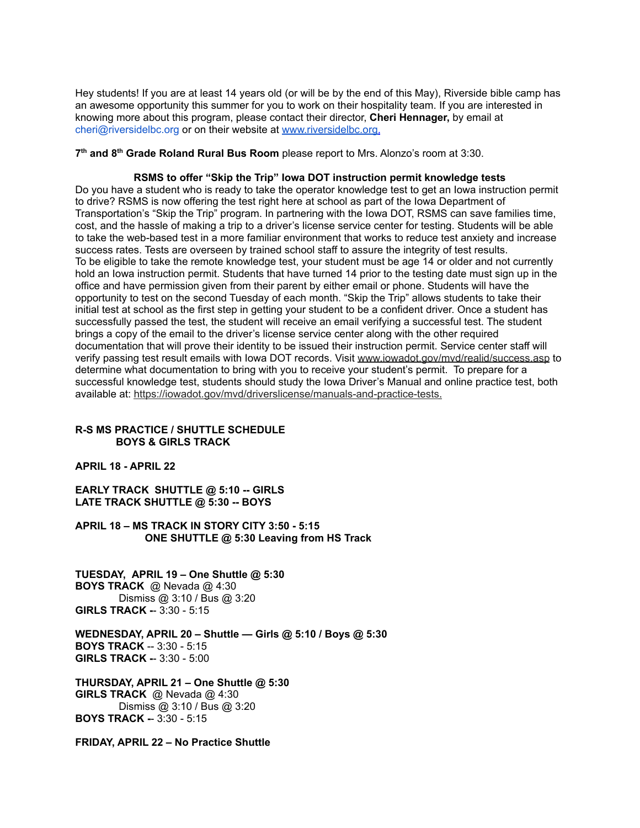Hey students! If you are at least 14 years old (or will be by the end of this May), Riverside bible camp has an awesome opportunity this summer for you to work on their hospitality team. If you are interested in knowing more about this program, please contact their director, **Cheri Hennager,** by email at cheri@riversidelbc.org or on their website at [www.riversidelbc.org.](http://www.riversidelbc.org/)

**7 th and 8 th Grade Roland Rural Bus Room** please report to Mrs. Alonzo's room at 3:30.

#### **RSMS to offer "Skip the Trip" Iowa DOT instruction permit knowledge tests**

Do you have a student who is ready to take the operator knowledge test to get an Iowa instruction permit to drive? RSMS is now offering the test right here at school as part of the Iowa Department of Transportation's "Skip the Trip" program. In partnering with the Iowa DOT, RSMS can save families time, cost, and the hassle of making a trip to a driver's license service center for testing. Students will be able to take the web-based test in a more familiar environment that works to reduce test anxiety and increase success rates. Tests are overseen by trained school staff to assure the integrity of test results. To be eligible to take the remote knowledge test, your student must be age 14 or older and not currently hold an Iowa instruction permit. Students that have turned 14 prior to the testing date must sign up in the office and have permission given from their parent by either email or phone. Students will have the opportunity to test on the second Tuesday of each month. "Skip the Trip" allows students to take their initial test at school as the first step in getting your student to be a confident driver. Once a student has successfully passed the test, the student will receive an email verifying a successful test. The student brings a copy of the email to the driver's license service center along with the other required documentation that will prove their identity to be issued their instruction permit. Service center staff will verify passing test result emails with Iowa DOT records. Visit [www.iowadot.gov/mvd/realid/success.asp](http://www.iowadot.gov/mvd/realid/success.asp) to determine what documentation to bring with you to receive your student's permit. To prepare for a successful knowledge test, students should study the Iowa Driver's Manual and online practice test, both available at: <https://iowadot.gov/mvd/driverslicense/manuals-and-practice-tests>.

### **R-S MS PRACTICE / SHUTTLE SCHEDULE BOYS & GIRLS TRACK**

**APRIL 18 - APRIL 22**

**EARLY TRACK SHUTTLE @ 5:10 -- GIRLS LATE TRACK SHUTTLE @ 5:30 -- BOYS**

**APRIL 18 – MS TRACK IN STORY CITY 3:50 - 5:15 ONE SHUTTLE @ 5:30 Leaving from HS Track**

**TUESDAY, APRIL 19 – One Shuttle @ 5:30 BOYS TRACK** @ Nevada @ 4:30 Dismiss @ 3:10 / Bus @ 3:20 **GIRLS TRACK -**- 3:30 - 5:15

**WEDNESDAY, APRIL 20 – Shuttle — Girls @ 5:10 / Boys @ 5:30 BOYS TRACK** -- 3:30 - 5:15 **GIRLS TRACK -**- 3:30 - 5:00

**THURSDAY, APRIL 21 – One Shuttle @ 5:30 GIRLS TRACK** @ Nevada @ 4:30 Dismiss @ 3:10 / Bus @ 3:20 **BOYS TRACK -**- 3:30 - 5:15

**FRIDAY, APRIL 22 – No Practice Shuttle**